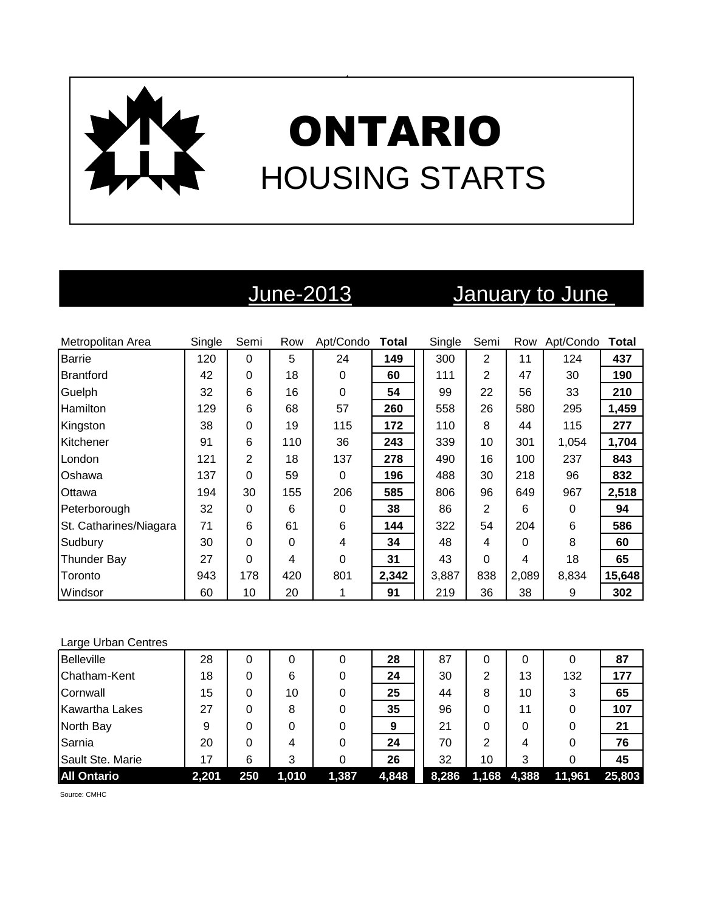

# June-2013 January to June

| Metropolitan Area      | Single | Semi | Row      | Apt/Condo | Total | Single | Semi           | Row   | Apt/Condo | Total  |
|------------------------|--------|------|----------|-----------|-------|--------|----------------|-------|-----------|--------|
| Barrie                 | 120    | 0    | 5        | 24        | 149   | 300    | $\overline{2}$ | 11    | 124       | 437    |
| Brantford              | 42     | 0    | 18       | 0         | 60    | 111    | $\overline{2}$ | 47    | 30        | 190    |
| Guelph                 | 32     | 6    | 16       | 0         | 54    | 99     | 22             | 56    | 33        | 210    |
| Hamilton               | 129    | 6    | 68       | 57        | 260   | 558    | 26             | 580   | 295       | 1,459  |
| Kingston               | 38     | 0    | 19       | 115       | 172   | 110    | 8              | 44    | 115       | 277    |
| Kitchener              | 91     | 6    | 110      | 36        | 243   | 339    | 10             | 301   | 1,054     | 1,704  |
| London                 | 121    | 2    | 18       | 137       | 278   | 490    | 16             | 100   | 237       | 843    |
| Oshawa                 | 137    | 0    | 59       | 0         | 196   | 488    | 30             | 218   | 96        | 832    |
| Ottawa                 | 194    | 30   | 155      | 206       | 585   | 806    | 96             | 649   | 967       | 2,518  |
| Peterborough           | 32     | 0    | 6        | 0         | 38    | 86     | $\overline{2}$ | 6     | 0         | 94     |
| St. Catharines/Niagara | 71     | 6    | 61       | 6         | 144   | 322    | 54             | 204   | 6         | 586    |
| Sudbury                | 30     | 0    | $\Omega$ | 4         | 34    | 48     | 4              | 0     | 8         | 60     |
| <b>Thunder Bay</b>     | 27     | 0    | 4        | $\Omega$  | 31    | 43     | 0              | 4     | 18        | 65     |
| Toronto                | 943    | 178  | 420      | 801       | 2,342 | 3,887  | 838            | 2,089 | 8,834     | 15,648 |
| Windsor                | 60     | 10   | 20       |           | 91    | 219    | 36             | 38    | 9         | 302    |

### Large Urban Centres

| <b>Belleville</b>     | 28    | 0   | 0     | 0     | 28    | 87    |    | 0           | 0      | 87     |
|-----------------------|-------|-----|-------|-------|-------|-------|----|-------------|--------|--------|
| Chatham-Kent          | 18    | 0   | 6     |       | 24    | 30    | 2  | 13          | 132    | 177    |
| Cornwall              | 15    | 0   | 10    |       | 25    | 44    | 8  | 10          | 3      | 65     |
| <b>Kawartha Lakes</b> | 27    | 0   | 8     |       | 35    | 96    | 0  | 11          | 0      | 107    |
| North Bay             | 9     | 0   | 0     |       | 9     | 21    | 0  | 0           | 0      | 21     |
| Sarnia                | 20    | 0   | 4     |       | 24    | 70    | 2  | 4           | 0      | 76     |
| Sault Ste. Marie      | 17    | 6   | 3     |       | 26    | 32    | 10 | 3           |        | 45     |
| <b>All Ontario</b>    | 2,201 | 250 | 1,010 | 1,387 | 4,848 | 8,286 |    | 1,168 4,388 | 11,961 | 25,803 |

Source: CMHC